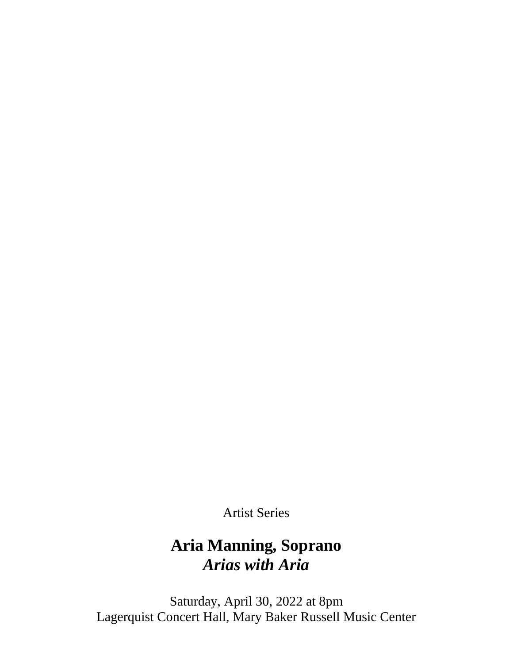Artist Series

# **Aria Manning, Soprano** *Arias with Aria*

Saturday, April 30, 2022 at 8pm Lagerquist Concert Hall, Mary Baker Russell Music Center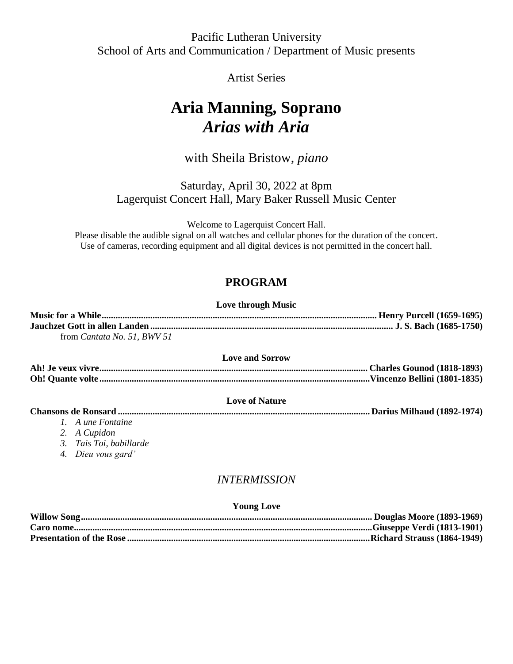# Pacific Lutheran University School of Arts and Communication / Department of Music presents

# Artist Series

# **Aria Manning, Soprano** *Arias with Aria*

# with Sheila Bristow, *piano*

Saturday, April 30, 2022 at 8pm Lagerquist Concert Hall, Mary Baker Russell Music Center

Welcome to Lagerquist Concert Hall.

Please disable the audible signal on all watches and cellular phones for the duration of the concert. Use of cameras, recording equipment and all digital devices is not permitted in the concert hall.

# **PROGRAM**

#### **Love through Music**

| from <i>Cantata No.</i> 51, <i>BWV</i> 51 |  |
|-------------------------------------------|--|

#### **Love and Sorrow**

**Ah! Je veux vivre.................................................................................................................... Charles Gounod (1818-1893) Oh! Quante volte .....................................................................................................................Vincenzo Bellini (1801-1835)**

#### **Love of Nature**

**Chansons de Ronsard ............................................................................................................. Darius Milhaud (1892-1974)**

- *1. A une Fontaine*
- *2. A Cupidon*
- *3. Tais Toi, babillarde*
- *4. Dieu vous gard'*

# *INTERMISSION*

#### **Young Love**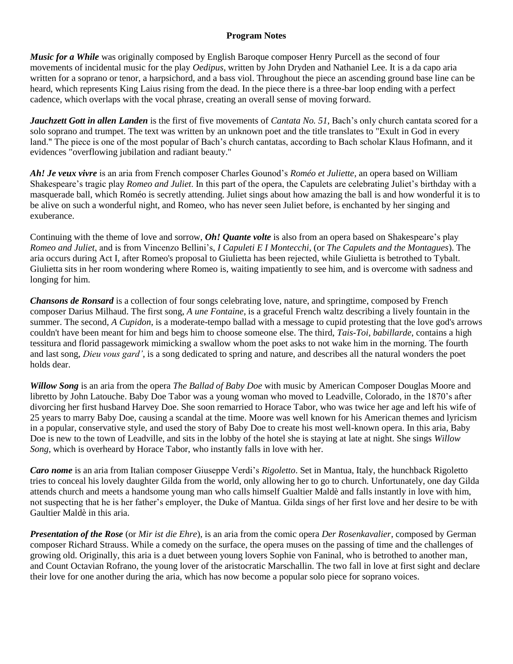#### **Program Notes**

*Music for a While* was originally composed by English Baroque composer Henry Purcell as the second of four movements of incidental music for the play *Oedipus*, written by John Dryden and Nathaniel Lee. It is a da capo aria written for a soprano or tenor, a harpsichord, and a bass viol. Throughout the piece an ascending ground base line can be heard, which represents King Laius rising from the dead. In the piece there is a three-bar loop ending with a perfect cadence, which overlaps with the vocal phrase, creating an overall sense of moving forward.

*Jauchzett Gott in allen Landen* is the first of five movements of *Cantata No. 51*, Bach's only church cantata scored for a solo soprano and trumpet. The text was written by an unknown poet and the title translates to "Exult in God in every land." The piece is one of the most popular of Bach's church cantatas, according to Bach scholar Klaus Hofmann, and it evidences "overflowing jubilation and radiant beauty."

*Ah! Je veux vivre* is an aria from French composer Charles Gounod's *Roméo et Juliette*, an opera based on William Shakespeare's tragic play *Romeo and Juliet*. In this part of the opera, the Capulets are celebrating Juliet's birthday with a masquerade ball, which Roméo is secretly attending. Juliet sings about how amazing the ball is and how wonderful it is to be alive on such a wonderful night, and Romeo, who has never seen Juliet before, is enchanted by her singing and exuberance.

Continuing with the theme of love and sorrow, *Oh! Quante volte* is also from an opera based on Shakespeare's play *Romeo and Juliet*, and is from Vincenzo Bellini's, *I Capuleti E I Montecchi*, (or *The Capulets and the Montagues*). The aria occurs during Act I, after Romeo's proposal to Giulietta has been rejected, while Giulietta is betrothed to Tybalt. Giulietta sits in her room wondering where Romeo is, waiting impatiently to see him, and is overcome with sadness and longing for him.

*Chansons de Ronsard* is a collection of four songs celebrating love, nature, and springtime, composed by French composer Darius Milhaud. The first song, *A une Fontaine*, is a graceful French waltz describing a lively fountain in the summer. The second*, A Cupidon*, is a moderate-tempo ballad with a message to cupid protesting that the love god's arrows couldn't have been meant for him and begs him to choose someone else. The third, *Tais-Toi, babillarde*, contains a high tessitura and florid passagework mimicking a swallow whom the poet asks to not wake him in the morning. The fourth and last song, *Dieu vous gard'*, is a song dedicated to spring and nature, and describes all the natural wonders the poet holds dear.

*Willow Song* is an aria from the opera *The Ballad of Baby Doe* with music by American Composer Douglas Moore and libretto by John Latouche. Baby Doe Tabor was a young woman who moved to Leadville, Colorado, in the 1870's after divorcing her first husband Harvey Doe. She soon remarried to Horace Tabor, who was twice her age and left his wife of 25 years to marry Baby Doe, causing a scandal at the time. Moore was well known for his American themes and lyricism in a popular, conservative style, and used the story of Baby Doe to create his most well-known opera. In this aria, Baby Doe is new to the town of Leadville, and sits in the lobby of the hotel she is staying at late at night. She sings *Willow Song*, which is overheard by Horace Tabor, who instantly falls in love with her.

*Caro nome* is an aria from Italian composer Giuseppe Verdi's *Rigoletto*. Set in Mantua, Italy, the hunchback Rigoletto tries to conceal his lovely daughter Gilda from the world, only allowing her to go to church. Unfortunately, one day Gilda attends church and meets a handsome young man who calls himself Gualtier Maldè and falls instantly in love with him, not suspecting that he is her father's employer, the Duke of Mantua. Gilda sings of her first love and her desire to be with Gaultier Maldè in this aria.

*Presentation of the Rose* (or *Mir ist die Ehre*), is an aria from the comic opera *Der Rosenkavalier*, composed by German composer Richard Strauss. While a comedy on the surface, the opera muses on the passing of time and the challenges of growing old. Originally, this aria is a duet between young lovers Sophie von Faninal, who is betrothed to another man, and Count Octavian Rofrano, the young lover of the aristocratic Marschallin. The two fall in love at first sight and declare their love for one another during the aria, which has now become a popular solo piece for soprano voices.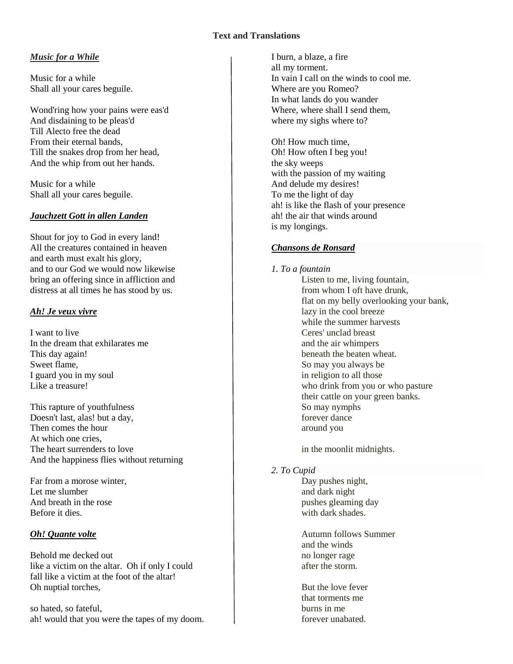### **Text and Translations**

#### *Music for a While*

Music for a while Shall all your cares beguile.

Wond'ring how your pains were eas'd And disdaining to be pleas'd Till Alecto free the dead From their eternal bands, Till the snakes drop from her head, And the whip from out her hands.

Music for a while Shall all your cares beguile.

### *Jauchzett Gott in allen Landen*

Shout for joy to God in every land! All the creatures contained in heaven and earth must exalt his glory, and to our God we would now likewise bring an offering since in affliction and distress at all times he has stood by us.

### *Ah! Je veux vivre*

I want to live In the dream that exhilarates me This day again! Sweet flame, I guard you in my soul Like a treasure!

This rapture of youthfulness Doesn't last, alas! but a day, Then comes the hour At which one cries, The heart surrenders to love And the happiness flies without returning

Far from a morose winter, Let me slumber And breath in the rose Before it dies.

## *Oh! Quante volte*

Behold me decked out like a victim on the altar. Oh if only I could fall like a victim at the foot of the altar! Oh nuptial torches,

so hated, so fateful, ah! would that you were the tapes of my doom. I burn, a blaze, a fire all my torment. In vain I call on the winds to cool me. Where are you Romeo? In what lands do you wander Where, where shall I send them, where my sighs where to?

Oh! How much time, Oh! How often I beg you! the sky weeps with the passion of my waiting And delude my desires! To me the light of day ah! is like the flash of your presence ah! the air that winds around is my longings.

## *Chansons de Ronsard*

#### *1. To a fountain*

Listen to me, living fountain, from whom I oft have drunk, flat on my belly overlooking your bank, lazy in the cool breeze while the summer harvests Ceres' unclad breast and the air whimpers beneath the beaten wheat. So may you always be in religion to all those who drink from you or who pasture their cattle on your green banks. So may nymphs forever dance around you

in the moonlit midnights.

## *2. To Cupid*

Day pushes night, and dark night pushes gleaming day with dark shades.

Autumn follows Summer and the winds no longer rage after the storm.

But the love fever that torments me burns in me forever unabated.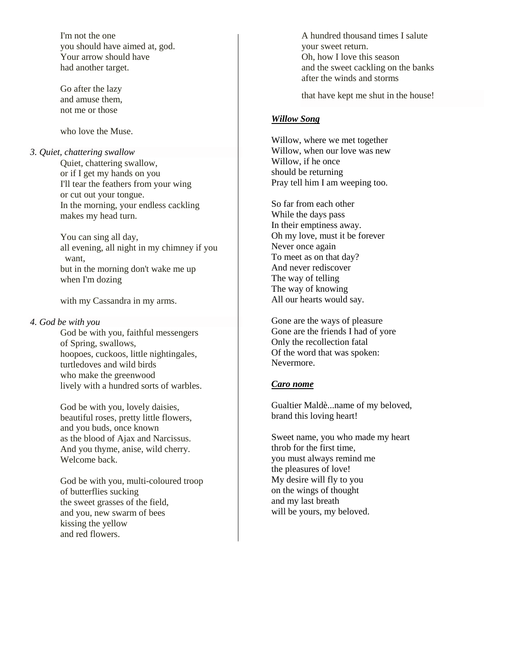I'm not the one you should have aimed at, god. Your arrow should have had another target.

Go after the lazy and amuse them, not me or those

who love the Muse.

*3. Quiet, chattering swallow* Quiet, chattering swallow, or if I get my hands on you I'll tear the feathers from your wing or cut out your tongue. In the morning, your endless cackling makes my head turn.

> You can sing all day, all evening, all night in my chimney if you want, but in the morning don't wake me up when I'm dozing

with my Cassandra in my arms.

#### *4. God be with you*

God be with you, faithful messengers of Spring, swallows, hoopoes, cuckoos, little nightingales, turtledoves and wild birds who make the greenwood lively with a hundred sorts of warbles.

God be with you, lovely daisies, beautiful roses, pretty little flowers, and you buds, once known as the blood of Ajax and Narcissus. And you thyme, anise, wild cherry. Welcome back.

God be with you, multi-coloured troop of butterflies sucking the sweet grasses of the field, and you, new swarm of bees kissing the yellow and red flowers.

A hundred thousand times I salute your sweet return. Oh, how I love this season and the sweet cackling on the banks after the winds and storms

that have kept me shut in the house!

#### *Willow Song*

Willow, where we met together Willow, when our love was new Willow, if he once should be returning Pray tell him I am weeping too.

So far from each other While the days pass In their emptiness away. Oh my love, must it be forever Never once again To meet as on that day? And never rediscover The way of telling The way of knowing All our hearts would say.

Gone are the ways of pleasure Gone are the friends I had of yore Only the recollection fatal Of the word that was spoken: Nevermore.

#### *Caro nome*

Gualtier Maldè...name of my beloved, brand this loving heart!

Sweet name, you who made my heart throb for the first time, you must always remind me the pleasures of love! My desire will fly to you on the wings of thought and my last breath will be yours, my beloved.